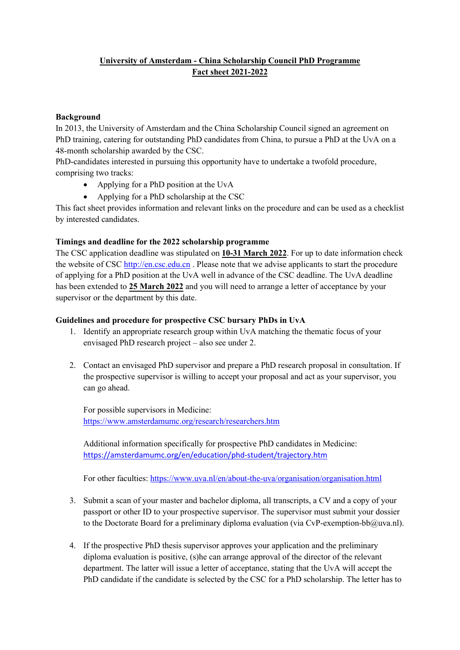# **University of Amsterdam - China Scholarship Council PhD Programme Fact sheet 2021-2022**

#### **Background**

In 2013, the University of Amsterdam and the China Scholarship Council signed an agreement on PhD training, catering for outstanding PhD candidates from China, to pursue a PhD at the UvA on a 48-month scholarship awarded by the CSC.

PhD-candidates interested in pursuing this opportunity have to undertake a twofold procedure, comprising two tracks:

- Applying for a PhD position at the UvA
- Applying for a PhD scholarship at the CSC

This fact sheet provides information and relevant links on the procedure and can be used as a checklist by interested candidates.

## **Timings and deadline for the 2022 scholarship programme**

The CSC application deadline was stipulated on **10-31 March 2022**. For up to date information check the website of CSC [http://en.csc.edu.cn](http://en.csc.edu.cn/) . Please note that we advise applicants to start the procedure of applying for a PhD position at the UvA well in advance of the CSC deadline. The UvA deadline has been extended to **25 March 2022** and you will need to arrange a letter of acceptance by your supervisor or the department by this date.

## **Guidelines and procedure for prospective CSC bursary PhDs in UvA**

- 1. Identify an appropriate research group within UvA matching the thematic focus of your envisaged PhD research project – also see under 2.
- 2. Contact an envisaged PhD supervisor and prepare a PhD research proposal in consultation. If the prospective supervisor is willing to accept your proposal and act as your supervisor, you can go ahead.

For possible supervisors in Medicine: <https://www.amsterdamumc.org/research/researchers.htm>

Additional information specifically for prospective PhD candidates in Medicine: [https://amsterdamumc.org/en/education/phd-student/trajectory.htm](https://eur04.safelinks.protection.outlook.com/?url=https%3A%2F%2Famsterdamumc.org%2Fen%2Feducation%2Fphd-student%2Ftrajectory.htm&data=04%7C01%7CH.M.F.Boeren%40uva.nl%7C4fa5a8f166064addc57e08d9baf6e1ad%7Ca0f1cacd618c4403b94576fb3d6874e5%7C0%7C0%7C637746391774591428%7CUnknown%7CTWFpbGZsb3d8eyJWIjoiMC4wLjAwMDAiLCJQIjoiV2luMzIiLCJBTiI6Ik1haWwiLCJXVCI6Mn0%3D%7C3000&sdata=Euz%2B5DzCLtU40OQcyPDsEu155J15CPrhLfpBEmyJAV0%3D&reserved=0)

For other faculties:<https://www.uva.nl/en/about-the-uva/organisation/organisation.html>

- 3. Submit a scan of your master and bachelor diploma, all transcripts, a CV and a copy of your passport or other ID to your prospective supervisor. The supervisor must submit your dossier to the Doctorate Board for a preliminary diploma evaluation (via CvP-exemption-bb $@$ uva.nl).
- 4. If the prospective PhD thesis supervisor approves your application and the preliminary diploma evaluation is positive, (s)he can arrange approval of the director of the relevant department. The latter will issue a letter of acceptance, stating that the UvA will accept the PhD candidate if the candidate is selected by the CSC for a PhD scholarship. The letter has to